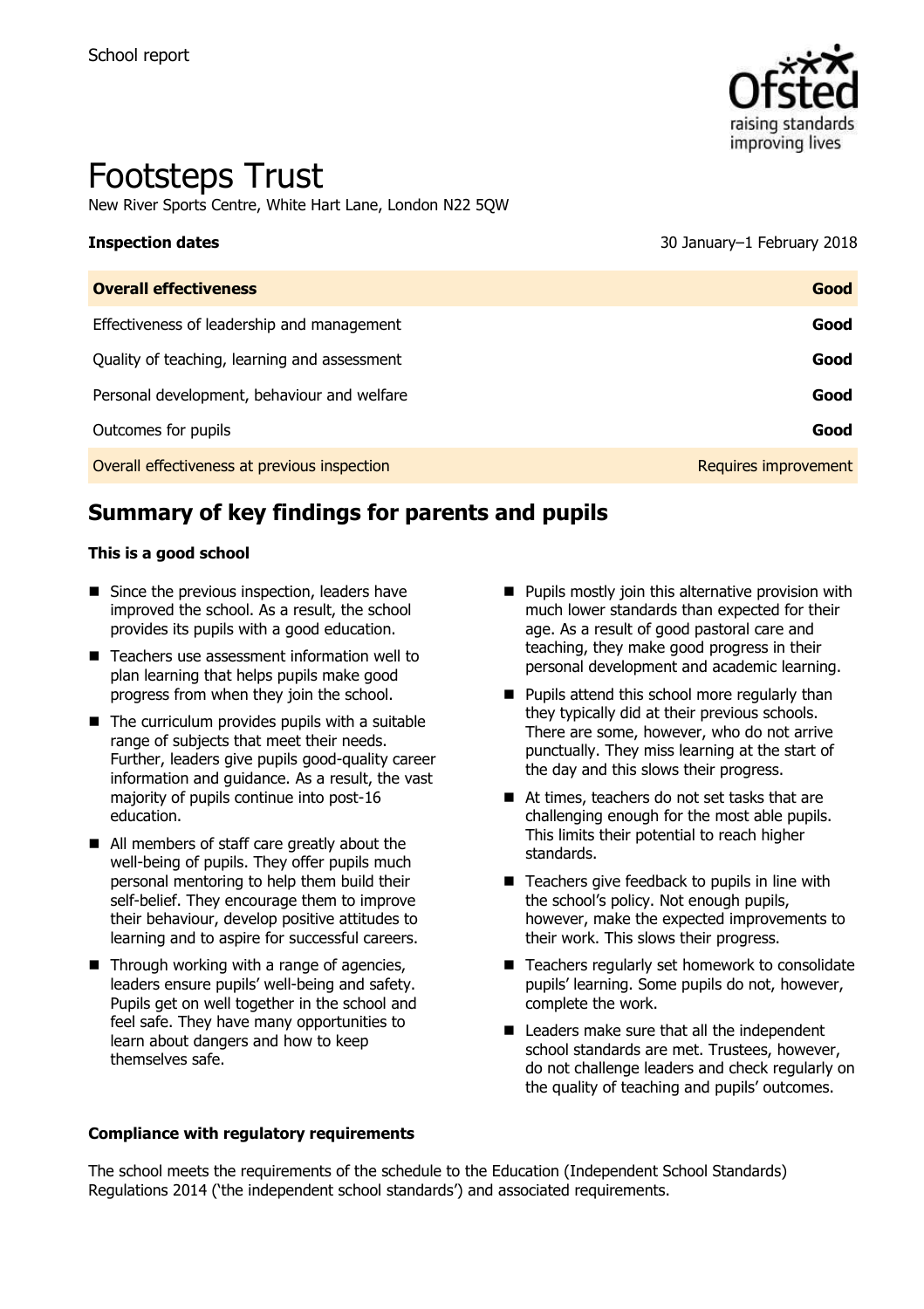

# Footsteps Trust

New River Sports Centre, White Hart Lane, London N22 5QW

# **Inspection dates** 30 January–1 February 2018

**Overall effectiveness Good** Effectiveness of leadership and management **Good** Quality of teaching, learning and assessment **Good** Personal development, behaviour and welfare **Good Good** Outcomes for pupils **Good** Overall effectiveness at previous inspection **Requires improvement** Requires improvement

# **Summary of key findings for parents and pupils**

#### **This is a good school**

- $\blacksquare$  Since the previous inspection, leaders have improved the school. As a result, the school provides its pupils with a good education.
- Teachers use assessment information well to plan learning that helps pupils make good progress from when they join the school.
- $\blacksquare$  The curriculum provides pupils with a suitable range of subjects that meet their needs. Further, leaders give pupils good-quality career information and guidance. As a result, the vast majority of pupils continue into post-16 education.
- All members of staff care greatly about the well-being of pupils. They offer pupils much personal mentoring to help them build their self-belief. They encourage them to improve their behaviour, develop positive attitudes to learning and to aspire for successful careers.
- $\blacksquare$  Through working with a range of agencies, leaders ensure pupils' well-being and safety. Pupils get on well together in the school and feel safe. They have many opportunities to learn about dangers and how to keep themselves safe.
- **Compliance with regulatory requirements**
- $\blacksquare$  Pupils mostly join this alternative provision with much lower standards than expected for their age. As a result of good pastoral care and teaching, they make good progress in their personal development and academic learning.
- $\blacksquare$  Pupils attend this school more regularly than they typically did at their previous schools. There are some, however, who do not arrive punctually. They miss learning at the start of the day and this slows their progress.
- At times, teachers do not set tasks that are challenging enough for the most able pupils. This limits their potential to reach higher standards.
- $\blacksquare$  Teachers give feedback to pupils in line with the school's policy. Not enough pupils, however, make the expected improvements to their work. This slows their progress.
- Teachers regularly set homework to consolidate pupils' learning. Some pupils do not, however, complete the work.
- Leaders make sure that all the independent school standards are met. Trustees, however, do not challenge leaders and check regularly on the quality of teaching and pupils' outcomes.

The school meets the requirements of the schedule to the Education (Independent School Standards) Regulations 2014 ('the independent school standards') and associated requirements.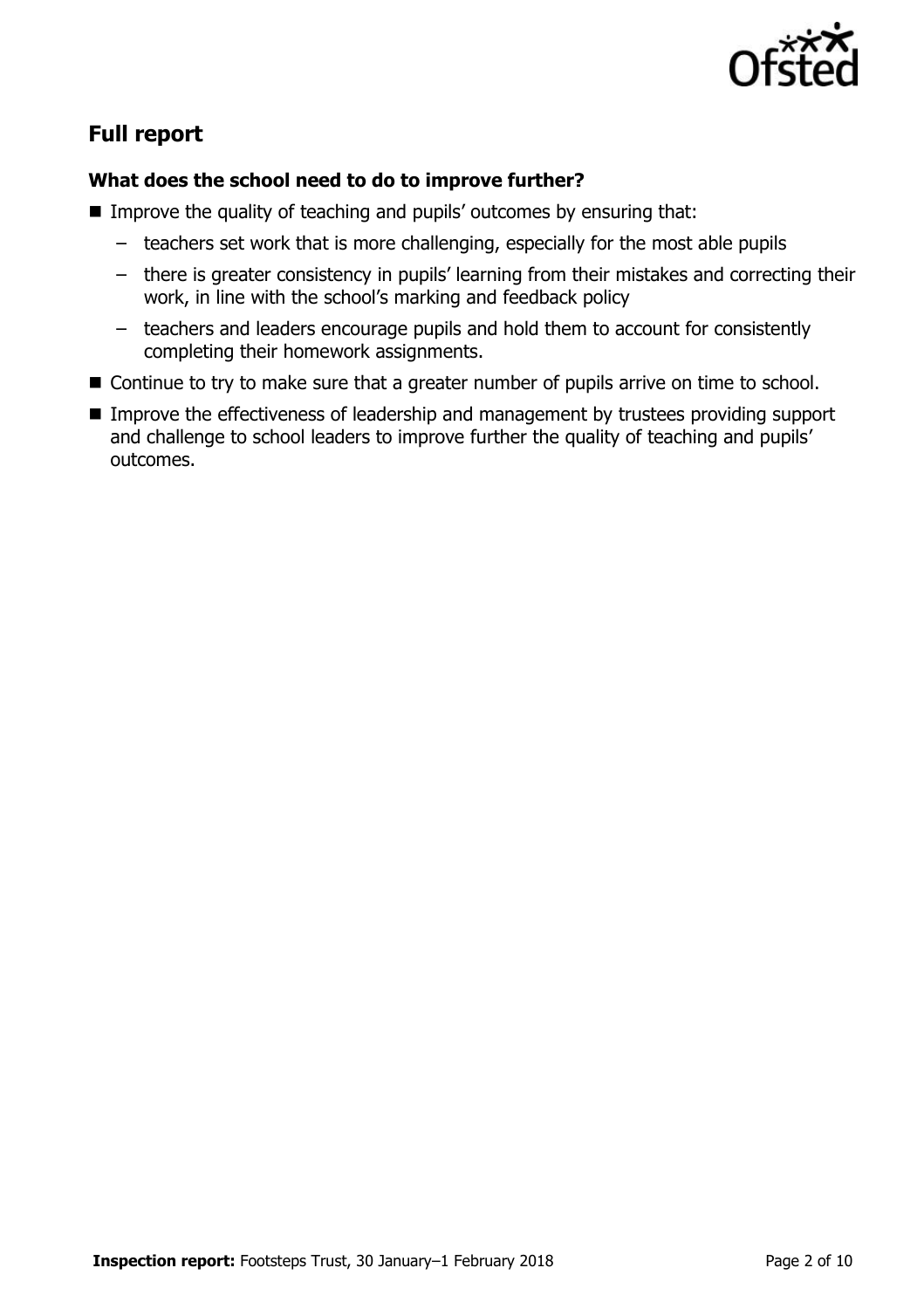

# **Full report**

### **What does the school need to do to improve further?**

- **IMPROVE the quality of teaching and pupils' outcomes by ensuring that:** 
	- teachers set work that is more challenging, especially for the most able pupils
	- there is greater consistency in pupils' learning from their mistakes and correcting their work, in line with the school's marking and feedback policy
	- teachers and leaders encourage pupils and hold them to account for consistently completing their homework assignments.
- Continue to try to make sure that a greater number of pupils arrive on time to school.
- Improve the effectiveness of leadership and management by trustees providing support and challenge to school leaders to improve further the quality of teaching and pupils' outcomes.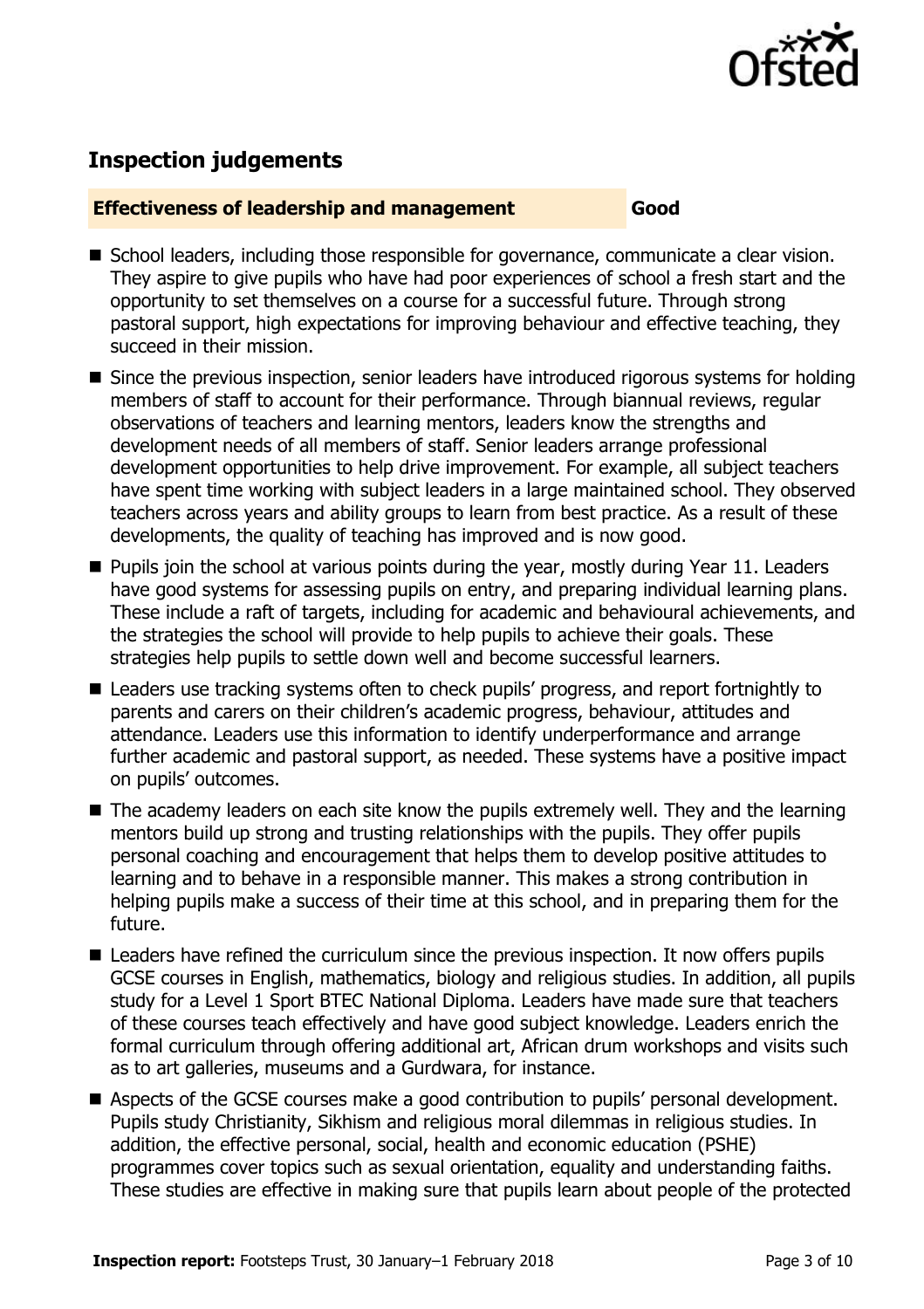

# **Inspection judgements**

#### **Effectiveness of leadership and management Good**

- School leaders, including those responsible for governance, communicate a clear vision. They aspire to give pupils who have had poor experiences of school a fresh start and the opportunity to set themselves on a course for a successful future. Through strong pastoral support, high expectations for improving behaviour and effective teaching, they succeed in their mission.
- Since the previous inspection, senior leaders have introduced rigorous systems for holding members of staff to account for their performance. Through biannual reviews, regular observations of teachers and learning mentors, leaders know the strengths and development needs of all members of staff. Senior leaders arrange professional development opportunities to help drive improvement. For example, all subject teachers have spent time working with subject leaders in a large maintained school. They observed teachers across years and ability groups to learn from best practice. As a result of these developments, the quality of teaching has improved and is now good.
- **Pupils join the school at various points during the year, mostly during Year 11. Leaders** have good systems for assessing pupils on entry, and preparing individual learning plans. These include a raft of targets, including for academic and behavioural achievements, and the strategies the school will provide to help pupils to achieve their goals. These strategies help pupils to settle down well and become successful learners.
- Leaders use tracking systems often to check pupils' progress, and report fortnightly to parents and carers on their children's academic progress, behaviour, attitudes and attendance. Leaders use this information to identify underperformance and arrange further academic and pastoral support, as needed. These systems have a positive impact on pupils' outcomes.
- The academy leaders on each site know the pupils extremely well. They and the learning mentors build up strong and trusting relationships with the pupils. They offer pupils personal coaching and encouragement that helps them to develop positive attitudes to learning and to behave in a responsible manner. This makes a strong contribution in helping pupils make a success of their time at this school, and in preparing them for the future.
- Leaders have refined the curriculum since the previous inspection. It now offers pupils GCSE courses in English, mathematics, biology and religious studies. In addition, all pupils study for a Level 1 Sport BTEC National Diploma. Leaders have made sure that teachers of these courses teach effectively and have good subject knowledge. Leaders enrich the formal curriculum through offering additional art, African drum workshops and visits such as to art galleries, museums and a Gurdwara, for instance.
- Aspects of the GCSE courses make a good contribution to pupils' personal development. Pupils study Christianity, Sikhism and religious moral dilemmas in religious studies. In addition, the effective personal, social, health and economic education (PSHE) programmes cover topics such as sexual orientation, equality and understanding faiths. These studies are effective in making sure that pupils learn about people of the protected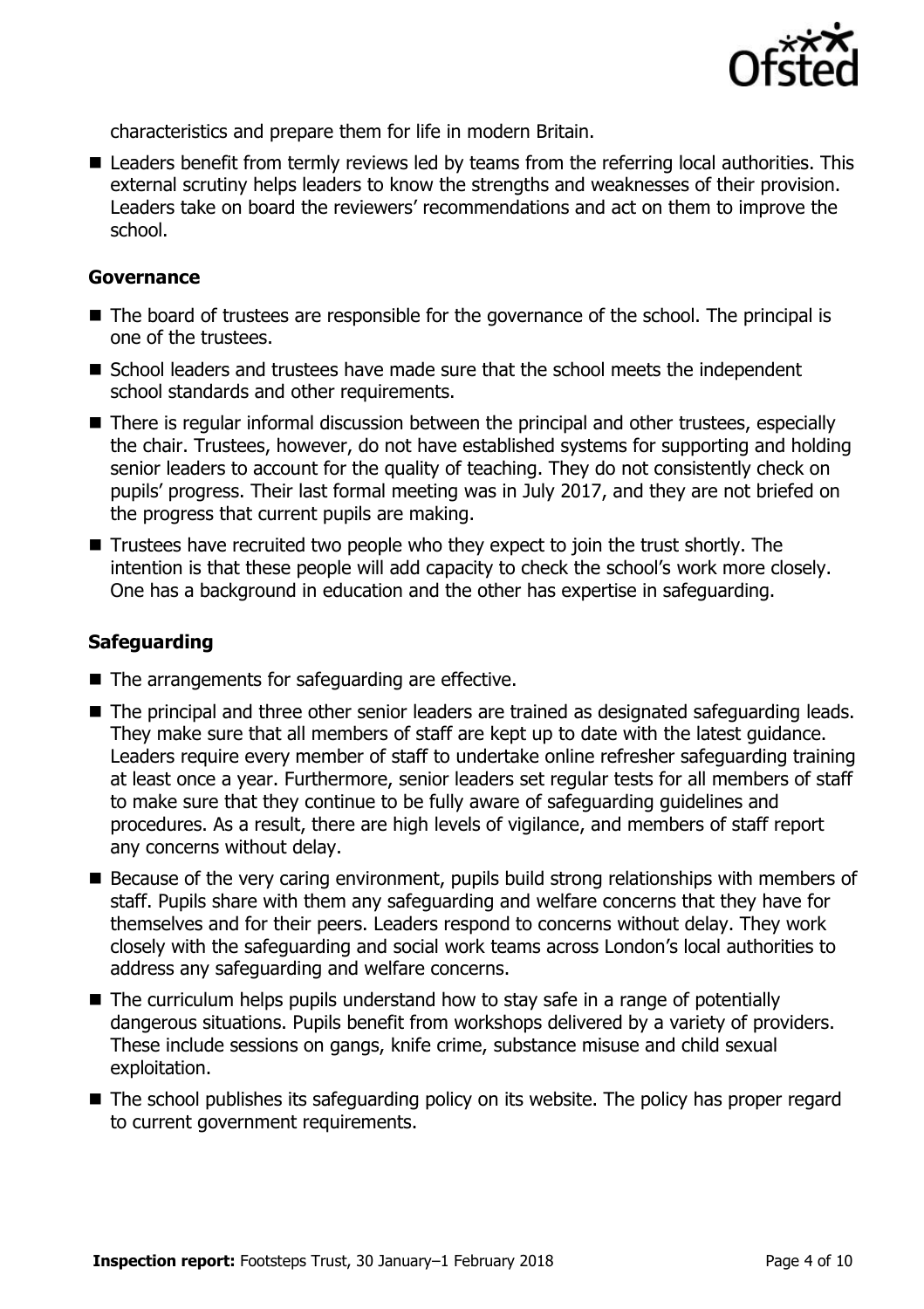

characteristics and prepare them for life in modern Britain.

■ Leaders benefit from termly reviews led by teams from the referring local authorities. This external scrutiny helps leaders to know the strengths and weaknesses of their provision. Leaders take on board the reviewers' recommendations and act on them to improve the school.

#### **Governance**

- The board of trustees are responsible for the governance of the school. The principal is one of the trustees.
- School leaders and trustees have made sure that the school meets the independent school standards and other requirements.
- There is regular informal discussion between the principal and other trustees, especially the chair. Trustees, however, do not have established systems for supporting and holding senior leaders to account for the quality of teaching. They do not consistently check on pupils' progress. Their last formal meeting was in July 2017, and they are not briefed on the progress that current pupils are making.
- $\blacksquare$  Trustees have recruited two people who they expect to join the trust shortly. The intention is that these people will add capacity to check the school's work more closely. One has a background in education and the other has expertise in safeguarding.

### **Safeguarding**

- The arrangements for safeguarding are effective.
- The principal and three other senior leaders are trained as designated safeguarding leads. They make sure that all members of staff are kept up to date with the latest guidance. Leaders require every member of staff to undertake online refresher safeguarding training at least once a year. Furthermore, senior leaders set regular tests for all members of staff to make sure that they continue to be fully aware of safeguarding guidelines and procedures. As a result, there are high levels of vigilance, and members of staff report any concerns without delay.
- Because of the very caring environment, pupils build strong relationships with members of staff. Pupils share with them any safeguarding and welfare concerns that they have for themselves and for their peers. Leaders respond to concerns without delay. They work closely with the safeguarding and social work teams across London's local authorities to address any safeguarding and welfare concerns.
- The curriculum helps pupils understand how to stay safe in a range of potentially dangerous situations. Pupils benefit from workshops delivered by a variety of providers. These include sessions on gangs, knife crime, substance misuse and child sexual exploitation.
- The school publishes its safeguarding policy on its website. The policy has proper regard to current government requirements.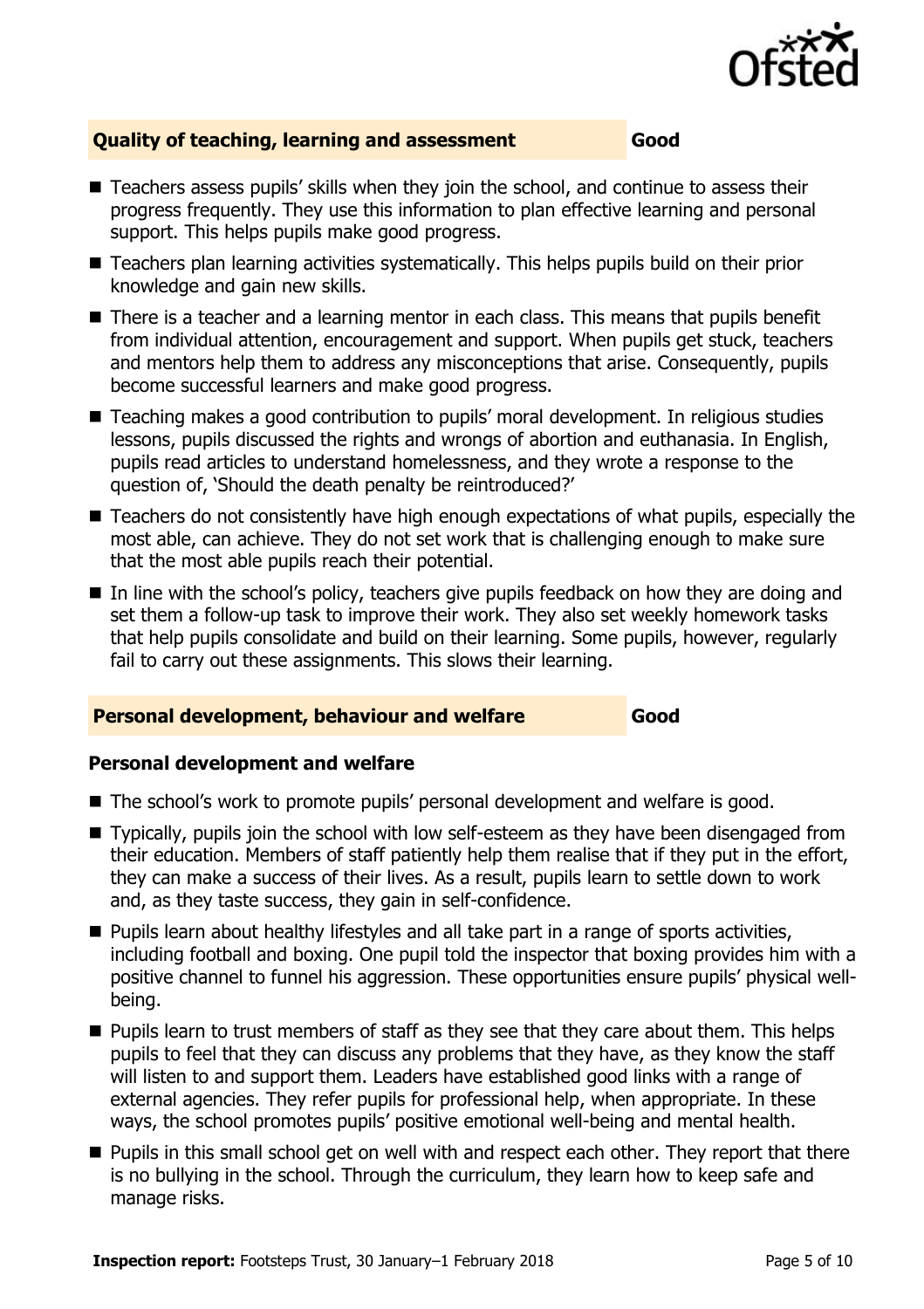

### **Quality of teaching, learning and assessment Good**

- Teachers assess pupils' skills when they join the school, and continue to assess their progress frequently. They use this information to plan effective learning and personal support. This helps pupils make good progress.
- Teachers plan learning activities systematically. This helps pupils build on their prior knowledge and gain new skills.
- There is a teacher and a learning mentor in each class. This means that pupils benefit from individual attention, encouragement and support. When pupils get stuck, teachers and mentors help them to address any misconceptions that arise. Consequently, pupils become successful learners and make good progress.
- Teaching makes a good contribution to pupils' moral development. In religious studies lessons, pupils discussed the rights and wrongs of abortion and euthanasia. In English, pupils read articles to understand homelessness, and they wrote a response to the question of, 'Should the death penalty be reintroduced?'
- Teachers do not consistently have high enough expectations of what pupils, especially the most able, can achieve. They do not set work that is challenging enough to make sure that the most able pupils reach their potential.
- In line with the school's policy, teachers give pupils feedback on how they are doing and set them a follow-up task to improve their work. They also set weekly homework tasks that help pupils consolidate and build on their learning. Some pupils, however, regularly fail to carry out these assignments. This slows their learning.

### **Personal development, behaviour and welfare Good**

### **Personal development and welfare**

- The school's work to promote pupils' personal development and welfare is good.
- Typically, pupils join the school with low self-esteem as they have been disengaged from their education. Members of staff patiently help them realise that if they put in the effort, they can make a success of their lives. As a result, pupils learn to settle down to work and, as they taste success, they gain in self-confidence.
- **Pupils learn about healthy lifestyles and all take part in a range of sports activities,** including football and boxing. One pupil told the inspector that boxing provides him with a positive channel to funnel his aggression. These opportunities ensure pupils' physical wellbeing.
- **Pupils learn to trust members of staff as they see that they care about them. This helps** pupils to feel that they can discuss any problems that they have, as they know the staff will listen to and support them. Leaders have established good links with a range of external agencies. They refer pupils for professional help, when appropriate. In these ways, the school promotes pupils' positive emotional well-being and mental health.
- **Pupils in this small school get on well with and respect each other. They report that there** is no bullying in the school. Through the curriculum, they learn how to keep safe and manage risks.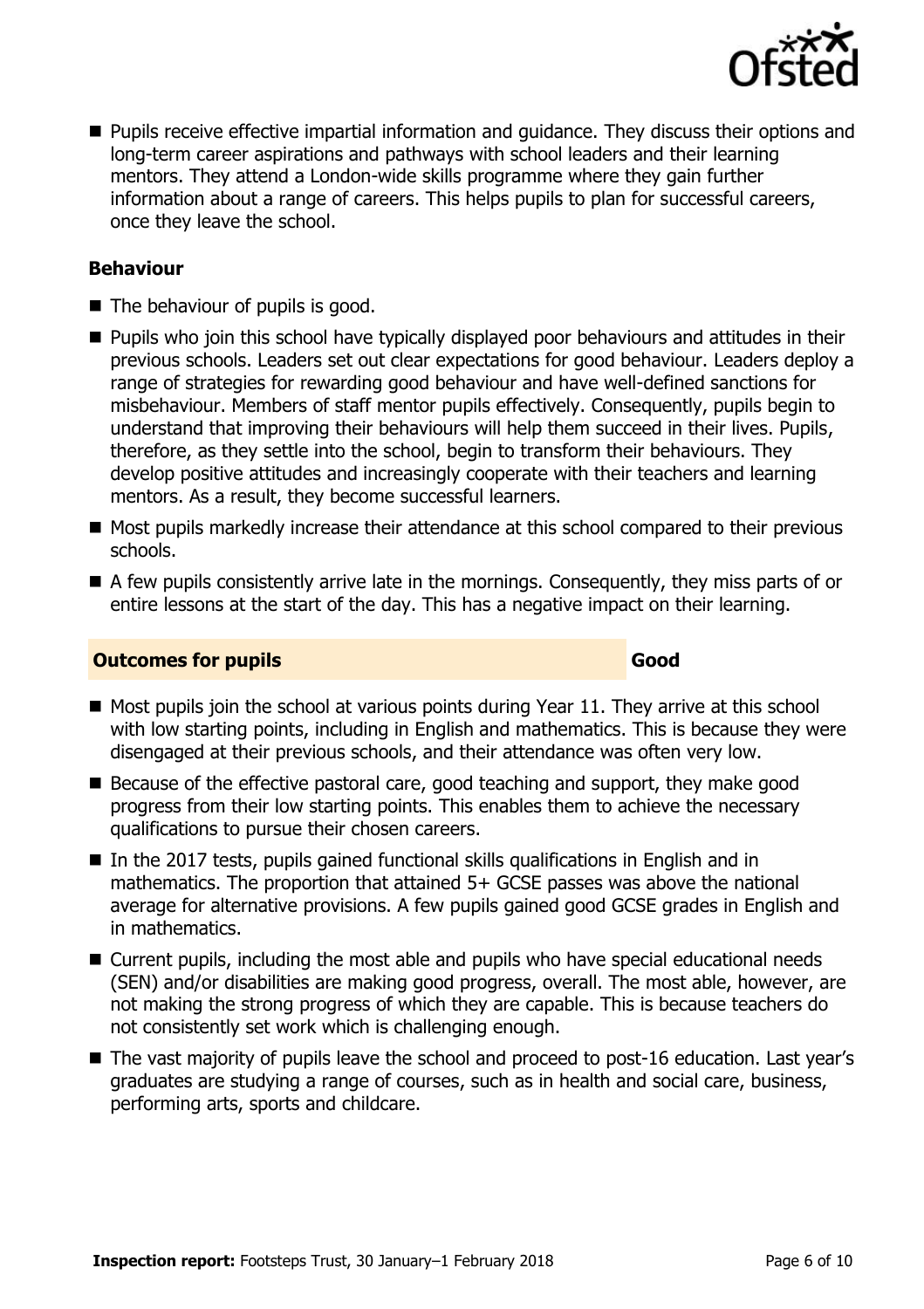

**Pupils receive effective impartial information and quidance. They discuss their options and** long-term career aspirations and pathways with school leaders and their learning mentors. They attend a London-wide skills programme where they gain further information about a range of careers. This helps pupils to plan for successful careers, once they leave the school.

#### **Behaviour**

- The behaviour of pupils is good.
- **Pupils who join this school have typically displayed poor behaviours and attitudes in their** previous schools. Leaders set out clear expectations for good behaviour. Leaders deploy a range of strategies for rewarding good behaviour and have well-defined sanctions for misbehaviour. Members of staff mentor pupils effectively. Consequently, pupils begin to understand that improving their behaviours will help them succeed in their lives. Pupils, therefore, as they settle into the school, begin to transform their behaviours. They develop positive attitudes and increasingly cooperate with their teachers and learning mentors. As a result, they become successful learners.
- Most pupils markedly increase their attendance at this school compared to their previous schools.
- A few pupils consistently arrive late in the mornings. Consequently, they miss parts of or entire lessons at the start of the day. This has a negative impact on their learning.

#### **Outcomes for pupils Good Good**

- $\blacksquare$  Most pupils join the school at various points during Year 11. They arrive at this school with low starting points, including in English and mathematics. This is because they were disengaged at their previous schools, and their attendance was often very low.
- $\blacksquare$  Because of the effective pastoral care, good teaching and support, they make good progress from their low starting points. This enables them to achieve the necessary qualifications to pursue their chosen careers.
- $\blacksquare$  In the 2017 tests, pupils gained functional skills qualifications in English and in mathematics. The proportion that attained 5+ GCSE passes was above the national average for alternative provisions. A few pupils gained good GCSE grades in English and in mathematics.
- Current pupils, including the most able and pupils who have special educational needs (SEN) and/or disabilities are making good progress, overall. The most able, however, are not making the strong progress of which they are capable. This is because teachers do not consistently set work which is challenging enough.
- The vast majority of pupils leave the school and proceed to post-16 education. Last year's graduates are studying a range of courses, such as in health and social care, business, performing arts, sports and childcare.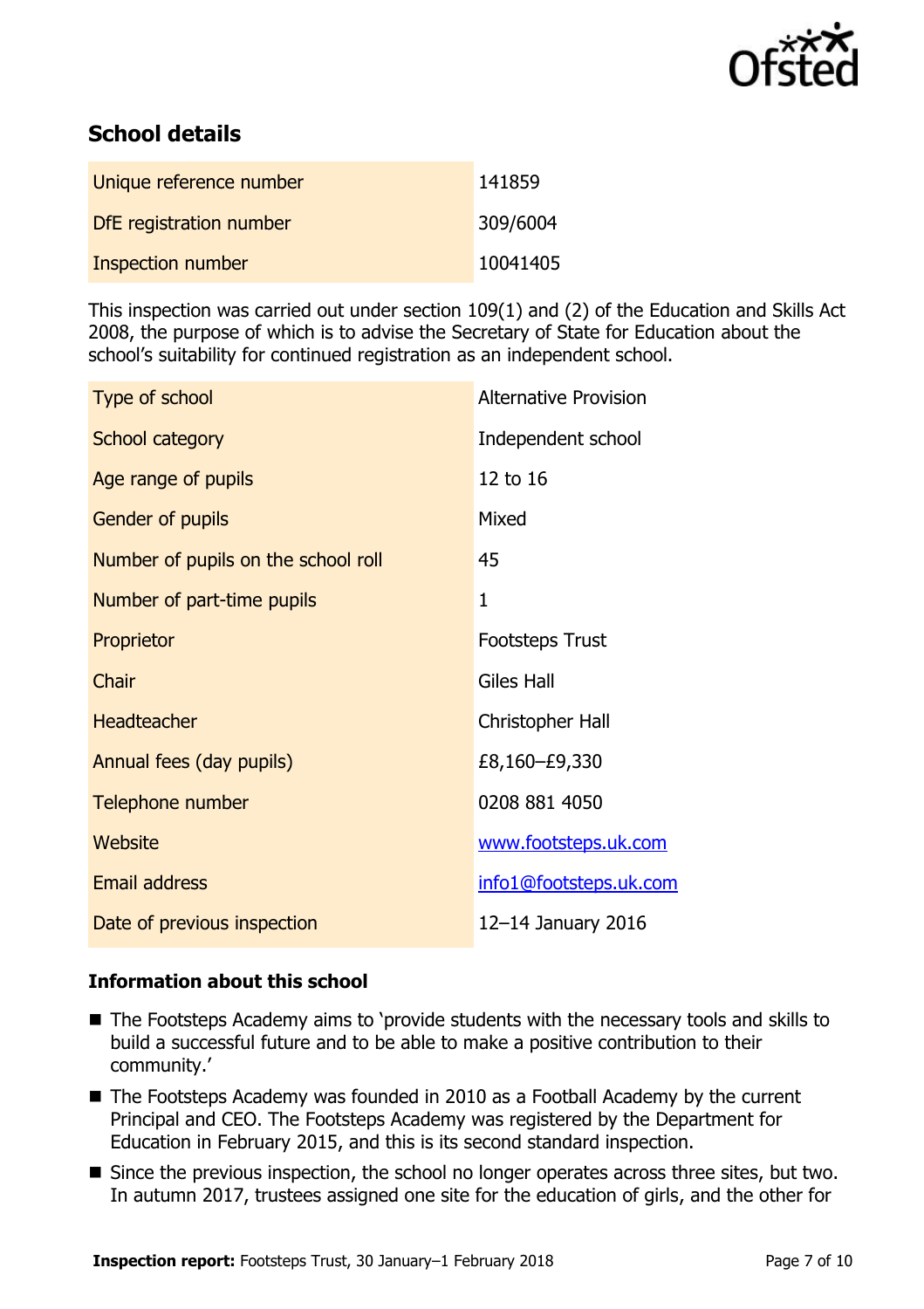

# **School details**

| Unique reference number | 141859   |
|-------------------------|----------|
| DfE registration number | 309/6004 |
| Inspection number       | 10041405 |

This inspection was carried out under section 109(1) and (2) of the Education and Skills Act 2008, the purpose of which is to advise the Secretary of State for Education about the school's suitability for continued registration as an independent school.

| Type of school                      | <b>Alternative Provision</b> |
|-------------------------------------|------------------------------|
| School category                     | Independent school           |
| Age range of pupils                 | 12 to 16                     |
| Gender of pupils                    | Mixed                        |
| Number of pupils on the school roll | 45                           |
| Number of part-time pupils          | 1                            |
| Proprietor                          | <b>Footsteps Trust</b>       |
| Chair                               | <b>Giles Hall</b>            |
| <b>Headteacher</b>                  | Christopher Hall             |
| Annual fees (day pupils)            | £8,160–£9,330                |
| Telephone number                    | 0208 881 4050                |
| Website                             | www.footsteps.uk.com         |
| <b>Email address</b>                | info1@footsteps.uk.com       |
| Date of previous inspection         | 12-14 January 2016           |

### **Information about this school**

- The Footsteps Academy aims to 'provide students with the necessary tools and skills to build a successful future and to be able to make a positive contribution to their community.'
- The Footsteps Academy was founded in 2010 as a Football Academy by the current Principal and CEO. The Footsteps Academy was registered by the Department for Education in February 2015, and this is its second standard inspection.
- Since the previous inspection, the school no longer operates across three sites, but two. In autumn 2017, trustees assigned one site for the education of girls, and the other for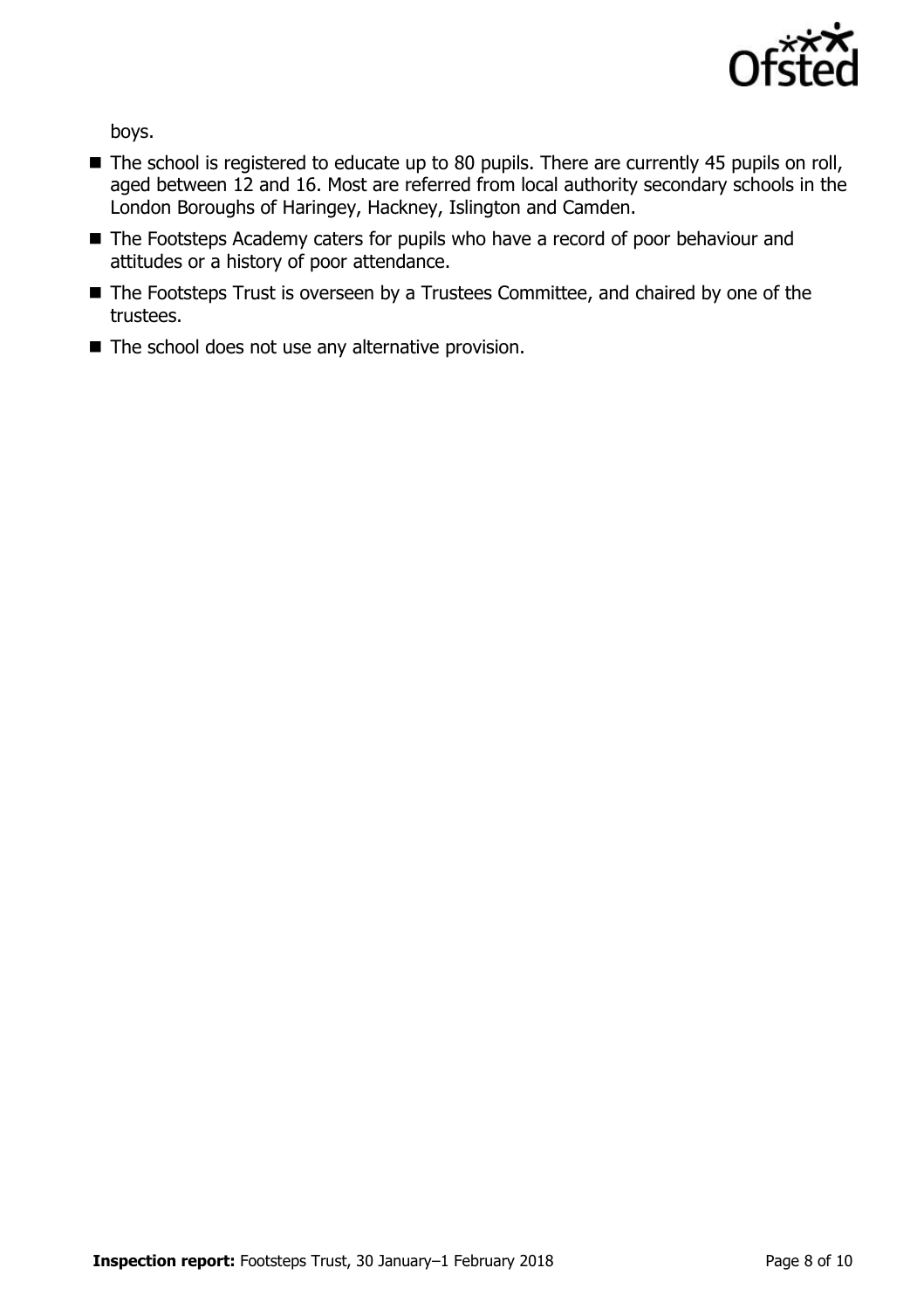

boys.

- The school is registered to educate up to 80 pupils. There are currently 45 pupils on roll, aged between 12 and 16. Most are referred from local authority secondary schools in the London Boroughs of Haringey, Hackney, Islington and Camden.
- The Footsteps Academy caters for pupils who have a record of poor behaviour and attitudes or a history of poor attendance.
- The Footsteps Trust is overseen by a Trustees Committee, and chaired by one of the trustees.
- $\blacksquare$  The school does not use any alternative provision.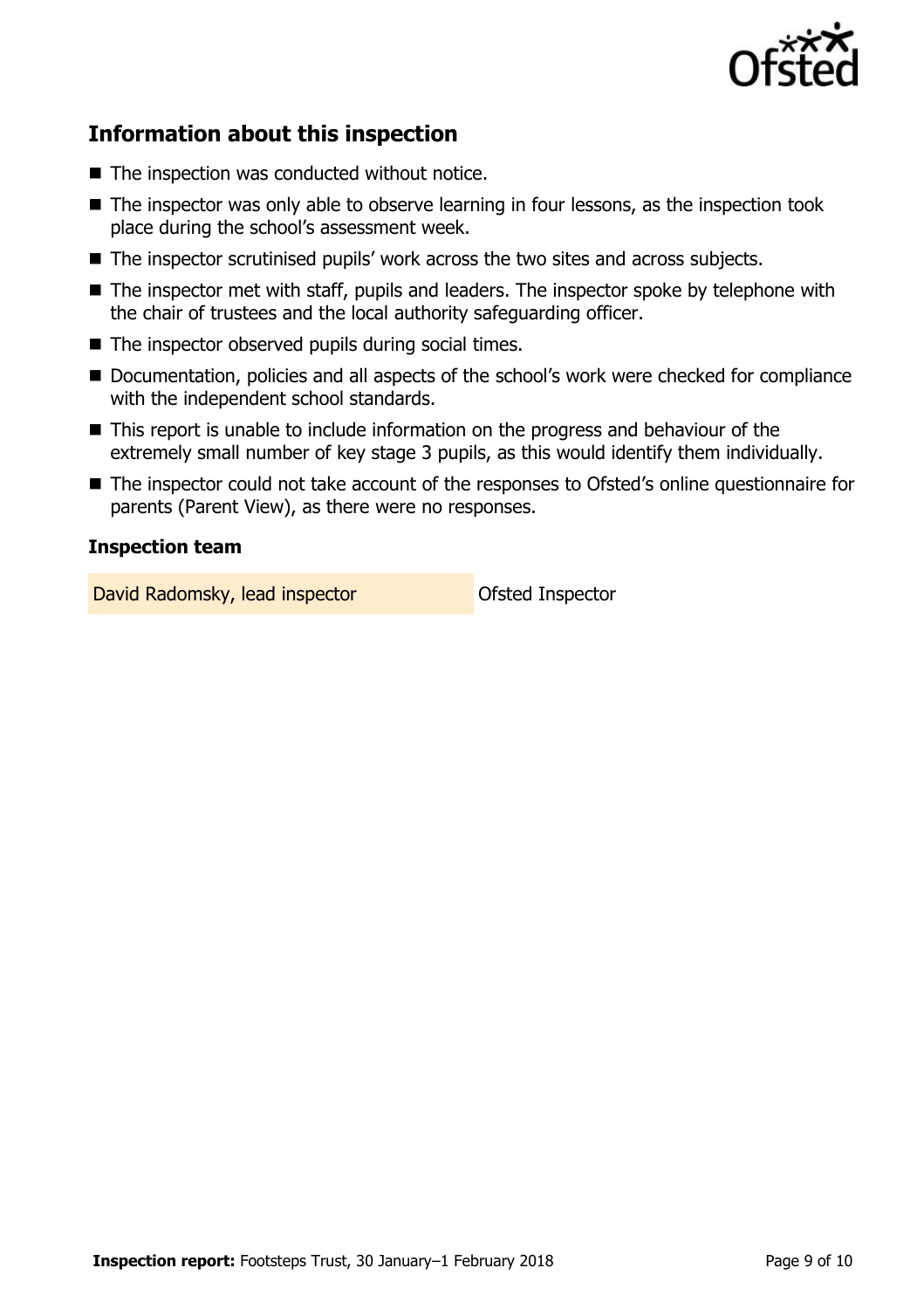

# **Information about this inspection**

- The inspection was conducted without notice.
- The inspector was only able to observe learning in four lessons, as the inspection took place during the school's assessment week.
- The inspector scrutinised pupils' work across the two sites and across subjects.
- The inspector met with staff, pupils and leaders. The inspector spoke by telephone with the chair of trustees and the local authority safeguarding officer.
- $\blacksquare$  The inspector observed pupils during social times.
- Documentation, policies and all aspects of the school's work were checked for compliance with the independent school standards.
- This report is unable to include information on the progress and behaviour of the extremely small number of key stage 3 pupils, as this would identify them individually.
- The inspector could not take account of the responses to Ofsted's online questionnaire for parents (Parent View), as there were no responses.

#### **Inspection team**

David Radomsky, lead inspector **David Radomsky**, lead inspector